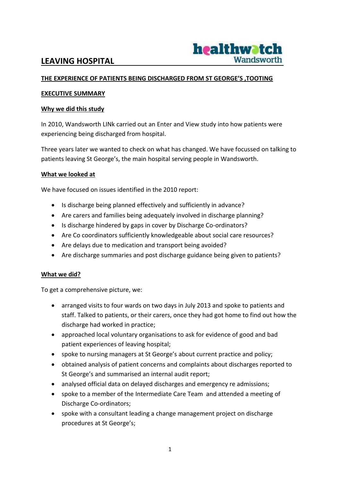## **LEAVING HOSPITAL**



#### **THE EXPERIENCE OF PATIENTS BEING DISCHARGED FROM ST GEORGE'S ,TOOTING**

#### **EXECUTIVE SUMMARY**

#### **Why we did this study**

In 2010, Wandsworth LINk carried out an Enter and View study into how patients were experiencing being discharged from hospital.

Three years later we wanted to check on what has changed. We have focussed on talking to patients leaving St George's, the main hospital serving people in Wandsworth.

#### **What we looked at**

We have focused on issues identified in the 2010 report:

- Is discharge being planned effectively and sufficiently in advance?
- Are carers and families being adequately involved in discharge planning?
- Is discharge hindered by gaps in cover by Discharge Co-ordinators?
- Are Co coordinators sufficiently knowledgeable about social care resources?
- Are delays due to medication and transport being avoided?
- Are discharge summaries and post discharge guidance being given to patients?

#### **What we did?**

To get a comprehensive picture, we:

- arranged visits to four wards on two days in July 2013 and spoke to patients and staff. Talked to patients, or their carers, once they had got home to find out how the discharge had worked in practice;
- approached local voluntary organisations to ask for evidence of good and bad patient experiences of leaving hospital;
- spoke to nursing managers at St George's about current practice and policy;
- obtained analysis of patient concerns and complaints about discharges reported to St George's and summarised an internal audit report;
- analysed official data on delayed discharges and emergency re admissions;
- spoke to a member of the Intermediate Care Team and attended a meeting of Discharge Co-ordinators;
- spoke with a consultant leading a change management project on discharge procedures at St George's;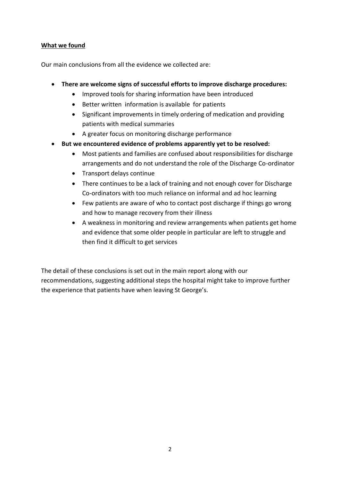#### **What we found**

Our main conclusions from all the evidence we collected are:

- **There are welcome signs of successful efforts to improve discharge procedures:**
	- Improved tools for sharing information have been introduced
	- Better written information is available for patients
	- Significant improvements in timely ordering of medication and providing patients with medical summaries
	- A greater focus on monitoring discharge performance
- **But we encountered evidence of problems apparently yet to be resolved:**
	- Most patients and families are confused about responsibilities for discharge arrangements and do not understand the role of the Discharge Co-ordinator
	- Transport delays continue
	- There continues to be a lack of training and not enough cover for Discharge Co-ordinators with too much reliance on informal and ad hoc learning
	- Few patients are aware of who to contact post discharge if things go wrong and how to manage recovery from their illness
	- A weakness in monitoring and review arrangements when patients get home and evidence that some older people in particular are left to struggle and then find it difficult to get services

The detail of these conclusions is set out in the main report along with our recommendations, suggesting additional steps the hospital might take to improve further the experience that patients have when leaving St George's.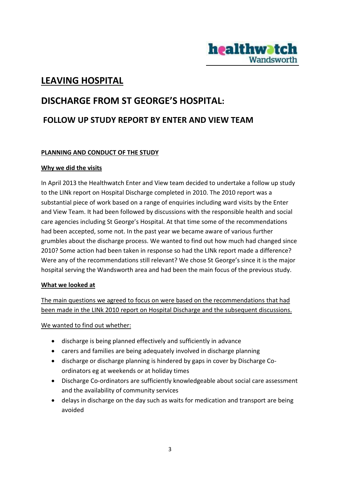

# **LEAVING HOSPITAL**

# **DISCHARGE FROM ST GEORGE'S HOSPITAL: FOLLOW UP STUDY REPORT BY ENTER AND VIEW TEAM**

#### **PLANNING AND CONDUCT OF THE STUDY**

#### **Why we did the visits**

In April 2013 the Healthwatch Enter and View team decided to undertake a follow up study to the LINk report on Hospital Discharge completed in 2010. The 2010 report was a substantial piece of work based on a range of enquiries including ward visits by the Enter and View Team. It had been followed by discussions with the responsible health and social care agencies including St George's Hospital. At that time some of the recommendations had been accepted, some not. In the past year we became aware of various further grumbles about the discharge process. We wanted to find out how much had changed since 2010? Some action had been taken in response so had the LINk report made a difference? Were any of the recommendations still relevant? We chose St George's since it is the major hospital serving the Wandsworth area and had been the main focus of the previous study.

#### **What we looked at**

The main questions we agreed to focus on were based on the recommendations that had been made in the LINk 2010 report on Hospital Discharge and the subsequent discussions.

We wanted to find out whether:

- discharge is being planned effectively and sufficiently in advance
- carers and families are being adequately involved in discharge planning
- discharge or discharge planning is hindered by gaps in cover by Discharge Coordinators eg at weekends or at holiday times
- Discharge Co-ordinators are sufficiently knowledgeable about social care assessment and the availability of community services
- delays in discharge on the day such as waits for medication and transport are being avoided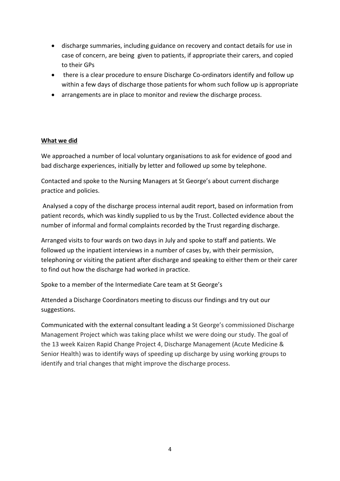- discharge summaries, including guidance on recovery and contact details for use in case of concern, are being given to patients, if appropriate their carers, and copied to their GPs
- there is a clear procedure to ensure Discharge Co-ordinators identify and follow up within a few days of discharge those patients for whom such follow up is appropriate
- arrangements are in place to monitor and review the discharge process.

#### **What we did**

We approached a number of local voluntary organisations to ask for evidence of good and bad discharge experiences, initially by letter and followed up some by telephone.

Contacted and spoke to the Nursing Managers at St George's about current discharge practice and policies.

Analysed a copy of the discharge process internal audit report, based on information from patient records, which was kindly supplied to us by the Trust. Collected evidence about the number of informal and formal complaints recorded by the Trust regarding discharge.

Arranged visits to four wards on two days in July and spoke to staff and patients. We followed up the inpatient interviews in a number of cases by, with their permission, telephoning or visiting the patient after discharge and speaking to either them or their carer to find out how the discharge had worked in practice.

Spoke to a member of the Intermediate Care team at St George's

Attended a Discharge Coordinators meeting to discuss our findings and try out our suggestions.

Communicated with the external consultant leading a St George's commissioned Discharge Management Project which was taking place whilst we were doing our study. The goal of the 13 week Kaizen Rapid Change Project 4, Discharge Management (Acute Medicine & Senior Health) was to identify ways of speeding up discharge by using working groups to identify and trial changes that might improve the discharge process.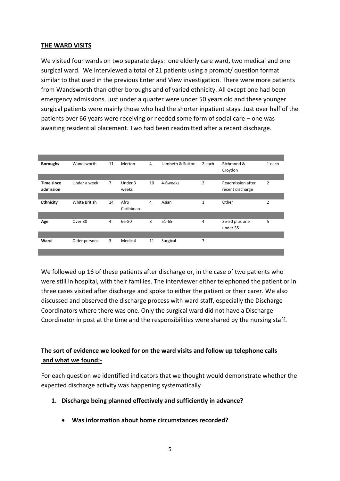#### **THE WARD VISITS**

We visited four wards on two separate days: one elderly care ward, two medical and one surgical ward. We interviewed a total of 21 patients using a prompt/ question format similar to that used in the previous Enter and View investigation. There were more patients from Wandsworth than other boroughs and of varied ethnicity. All except one had been emergency admissions. Just under a quarter were under 50 years old and these younger surgical patients were mainly those who had the shorter inpatient stays. Just over half of the patients over 66 years were receiving or needed some form of social care – one was awaiting residential placement. Two had been readmitted after a recent discharge.

| <b>Boroughs</b>   | Wandsworth    | 11             | Merton    | 4  | Lambeth & Sutton | 2 each         | Richmond &        | 1 each         |
|-------------------|---------------|----------------|-----------|----|------------------|----------------|-------------------|----------------|
|                   |               |                |           |    |                  |                | Croydon           |                |
|                   |               |                |           |    |                  |                |                   |                |
| <b>Time since</b> | Under a week  | $\overline{7}$ | Under 3   | 10 | 4-6weeks         | $\overline{2}$ | Readmission after | $\overline{2}$ |
| admission         |               |                | weeks     |    |                  |                | recent discharge  |                |
|                   |               |                |           |    |                  |                |                   |                |
| <b>Ethnicity</b>  | White British | 14             | Afro      | 4  | Asian            | $\mathbf{1}$   | Other             | $\overline{2}$ |
|                   |               |                | Caribbean |    |                  |                |                   |                |
|                   |               |                |           |    |                  |                |                   |                |
| Age               | Over 80       | 4              | 66-80     | 8  | $51 - 65$        | 4              | 35-50 plus one    | 5              |
|                   |               |                |           |    |                  |                | under 35          |                |
|                   |               |                |           |    |                  |                |                   |                |
| Ward              | Older persons | 3              | Medical   | 11 | Surgical         | 7              |                   |                |
|                   |               |                |           |    |                  |                |                   |                |
|                   |               |                |           |    |                  |                |                   |                |

We followed up 16 of these patients after discharge or, in the case of two patients who were still in hospital, with their families. The interviewer either telephoned the patient or in three cases visited after discharge and spoke to either the patient or their carer. We also discussed and observed the discharge process with ward staff, especially the Discharge Coordinators where there was one. Only the surgical ward did not have a Discharge Coordinator in post at the time and the responsibilities were shared by the nursing staff.

## **The sort of evidence we looked for on the ward visits and follow up telephone calls and what we found:-**

For each question we identified indicators that we thought would demonstrate whether the expected discharge activity was happening systematically

#### **1. Discharge being planned effectively and sufficiently in advance?**

**Was information about home circumstances recorded?**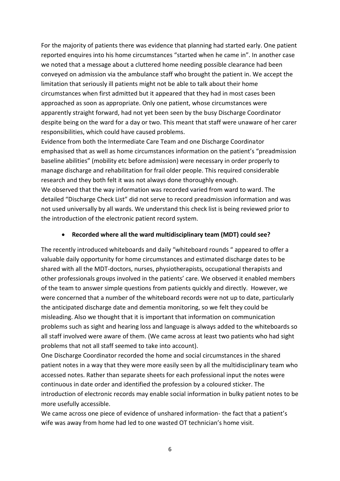For the majority of patients there was evidence that planning had started early. One patient reported enquires into his home circumstances "started when he came in". In another case we noted that a message about a cluttered home needing possible clearance had been conveyed on admission via the ambulance staff who brought the patient in. We accept the limitation that seriously ill patients might not be able to talk about their home circumstances when first admitted but it appeared that they had in most cases been approached as soon as appropriate. Only one patient, whose circumstances were apparently straight forward, had not yet been seen by the busy Discharge Coordinator despite being on the ward for a day or two. This meant that staff were unaware of her carer responsibilities, which could have caused problems.

Evidence from both the Intermediate Care Team and one Discharge Coordinator emphasised that as well as home circumstances information on the patient's "preadmission baseline abilities" (mobility etc before admission) were necessary in order properly to manage discharge and rehabilitation for frail older people. This required considerable research and they both felt it was not always done thoroughly enough.

We observed that the way information was recorded varied from ward to ward. The detailed "Discharge Check List" did not serve to record preadmission information and was not used universally by all wards. We understand this check list is being reviewed prior to the introduction of the electronic patient record system.

#### **Recorded where all the ward multidisciplinary team (MDT) could see?**

The recently introduced whiteboards and daily "whiteboard rounds " appeared to offer a valuable daily opportunity for home circumstances and estimated discharge dates to be shared with all the MDT-doctors, nurses, physiotherapists, occupational therapists and other professionals groups involved in the patients' care. We observed it enabled members of the team to answer simple questions from patients quickly and directly. However, we were concerned that a number of the whiteboard records were not up to date, particularly the anticipated discharge date and dementia monitoring, so we felt they could be misleading. Also we thought that it is important that information on communication problems such as sight and hearing loss and language is always added to the whiteboards so all staff involved were aware of them. (We came across at least two patients who had sight problems that not all staff seemed to take into account).

One Discharge Coordinator recorded the home and social circumstances in the shared patient notes in a way that they were more easily seen by all the multidisciplinary team who accessed notes. Rather than separate sheets for each professional input the notes were continuous in date order and identified the profession by a coloured sticker. The introduction of electronic records may enable social information in bulky patient notes to be more usefully accessible.

We came across one piece of evidence of unshared information- the fact that a patient's wife was away from home had led to one wasted OT technician's home visit.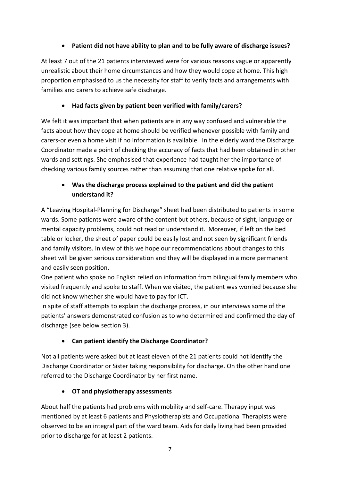## **Patient did not have ability to plan and to be fully aware of discharge issues?**

At least 7 out of the 21 patients interviewed were for various reasons vague or apparently unrealistic about their home circumstances and how they would cope at home. This high proportion emphasised to us the necessity for staff to verify facts and arrangements with families and carers to achieve safe discharge.

## **Had facts given by patient been verified with family/carers?**

We felt it was important that when patients are in any way confused and vulnerable the facts about how they cope at home should be verified whenever possible with family and carers-or even a home visit if no information is available. In the elderly ward the Discharge Coordinator made a point of checking the accuracy of facts that had been obtained in other wards and settings. She emphasised that experience had taught her the importance of checking various family sources rather than assuming that one relative spoke for all.

## **Was the discharge process explained to the patient and did the patient understand it?**

A "Leaving Hospital-Planning for Discharge" sheet had been distributed to patients in some wards. Some patients were aware of the content but others, because of sight, language or mental capacity problems, could not read or understand it. Moreover, if left on the bed table or locker, the sheet of paper could be easily lost and not seen by significant friends and family visitors. In view of this we hope our recommendations about changes to this sheet will be given serious consideration and they will be displayed in a more permanent and easily seen position.

One patient who spoke no English relied on information from bilingual family members who visited frequently and spoke to staff. When we visited, the patient was worried because she did not know whether she would have to pay for ICT.

In spite of staff attempts to explain the discharge process, in our interviews some of the patients' answers demonstrated confusion as to who determined and confirmed the day of discharge (see below section 3).

## **Can patient identify the Discharge Coordinator?**

Not all patients were asked but at least eleven of the 21 patients could not identify the Discharge Coordinator or Sister taking responsibility for discharge. On the other hand one referred to the Discharge Coordinator by her first name.

## **OT and physiotherapy assessments**

About half the patients had problems with mobility and self-care. Therapy input was mentioned by at least 6 patients and Physiotherapists and Occupational Therapists were observed to be an integral part of the ward team. Aids for daily living had been provided prior to discharge for at least 2 patients.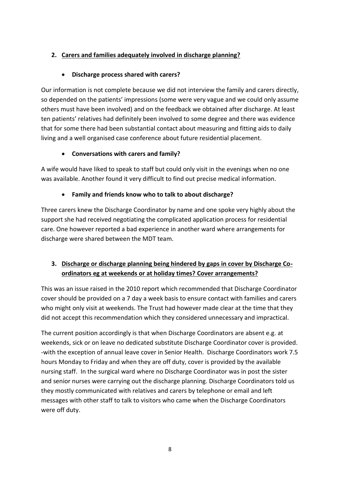## **2. Carers and families adequately involved in discharge planning?**

## **Discharge process shared with carers?**

Our information is not complete because we did not interview the family and carers directly, so depended on the patients' impressions (some were very vague and we could only assume others must have been involved) and on the feedback we obtained after discharge. At least ten patients' relatives had definitely been involved to some degree and there was evidence that for some there had been substantial contact about measuring and fitting aids to daily living and a well organised case conference about future residential placement.

## **Conversations with carers and family?**

A wife would have liked to speak to staff but could only visit in the evenings when no one was available. Another found it very difficult to find out precise medical information.

## **Family and friends know who to talk to about discharge?**

Three carers knew the Discharge Coordinator by name and one spoke very highly about the support she had received negotiating the complicated application process for residential care. One however reported a bad experience in another ward where arrangements for discharge were shared between the MDT team.

## **3. Discharge or discharge planning being hindered by gaps in cover by Discharge Coordinators eg at weekends or at holiday times? Cover arrangements?**

This was an issue raised in the 2010 report which recommended that Discharge Coordinator cover should be provided on a 7 day a week basis to ensure contact with families and carers who might only visit at weekends. The Trust had however made clear at the time that they did not accept this recommendation which they considered unnecessary and impractical.

The current position accordingly is that when Discharge Coordinators are absent e.g. at weekends, sick or on leave no dedicated substitute Discharge Coordinator cover is provided. -with the exception of annual leave cover in Senior Health. Discharge Coordinators work 7.5 hours Monday to Friday and when they are off duty, cover is provided by the available nursing staff. In the surgical ward where no Discharge Coordinator was in post the sister and senior nurses were carrying out the discharge planning. Discharge Coordinators told us they mostly communicated with relatives and carers by telephone or email and left messages with other staff to talk to visitors who came when the Discharge Coordinators were off duty.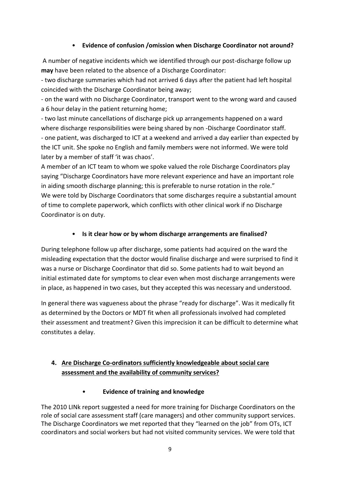## • **Evidence of confusion /omission when Discharge Coordinator not around?**

A number of negative incidents which we identified through our post-discharge follow up **may** have been related to the absence of a Discharge Coordinator:

- two discharge summaries which had not arrived 6 days after the patient had left hospital coincided with the Discharge Coordinator being away;

- on the ward with no Discharge Coordinator, transport went to the wrong ward and caused a 6 hour delay in the patient returning home;

- two last minute cancellations of discharge pick up arrangements happened on a ward where discharge responsibilities were being shared by non -Discharge Coordinator staff. - one patient, was discharged to ICT at a weekend and arrived a day earlier than expected by the ICT unit. She spoke no English and family members were not informed. We were told later by a member of staff 'it was chaos'.

A member of an ICT team to whom we spoke valued the role Discharge Coordinators play saying "Discharge Coordinators have more relevant experience and have an important role in aiding smooth discharge planning; this is preferable to nurse rotation in the role." We were told by Discharge Coordinators that some discharges require a substantial amount of time to complete paperwork, which conflicts with other clinical work if no Discharge Coordinator is on duty.

## • **Is it clear how or by whom discharge arrangements are finalised?**

During telephone follow up after discharge, some patients had acquired on the ward the misleading expectation that the doctor would finalise discharge and were surprised to find it was a nurse or Discharge Coordinator that did so. Some patients had to wait beyond an initial estimated date for symptoms to clear even when most discharge arrangements were in place, as happened in two cases, but they accepted this was necessary and understood.

In general there was vagueness about the phrase "ready for discharge". Was it medically fit as determined by the Doctors or MDT fit when all professionals involved had completed their assessment and treatment? Given this imprecision it can be difficult to determine what constitutes a delay.

## **4. Are Discharge Co-ordinators sufficiently knowledgeable about social care assessment and the availability of community services?**

• **Evidence of training and knowledge**

The 2010 LINk report suggested a need for more training for Discharge Coordinators on the role of social care assessment staff (care managers) and other community support services. The Discharge Coordinators we met reported that they "learned on the job" from OTs, ICT coordinators and social workers but had not visited community services. We were told that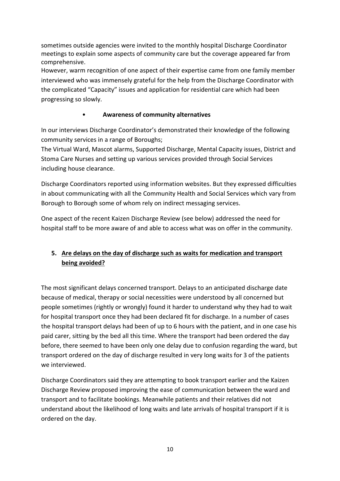sometimes outside agencies were invited to the monthly hospital Discharge Coordinator meetings to explain some aspects of community care but the coverage appeared far from comprehensive.

However, warm recognition of one aspect of their expertise came from one family member interviewed who was immensely grateful for the help from the Discharge Coordinator with the complicated "Capacity" issues and application for residential care which had been progressing so slowly.

#### • **Awareness of community alternatives**

In our interviews Discharge Coordinator's demonstrated their knowledge of the following community services in a range of Boroughs;

The Virtual Ward, Mascot alarms, Supported Discharge, Mental Capacity issues, District and Stoma Care Nurses and setting up various services provided through Social Services including house clearance.

Discharge Coordinators reported using information websites. But they expressed difficulties in about communicating with all the Community Health and Social Services which vary from Borough to Borough some of whom rely on indirect messaging services.

One aspect of the recent Kaizen Discharge Review (see below) addressed the need for hospital staff to be more aware of and able to access what was on offer in the community.

## **5. Are delays on the day of discharge such as waits for medication and transport being avoided?**

The most significant delays concerned transport. Delays to an anticipated discharge date because of medical, therapy or social necessities were understood by all concerned but people sometimes (rightly or wrongly) found it harder to understand why they had to wait for hospital transport once they had been declared fit for discharge. In a number of cases the hospital transport delays had been of up to 6 hours with the patient, and in one case his paid carer, sitting by the bed all this time. Where the transport had been ordered the day before, there seemed to have been only one delay due to confusion regarding the ward, but transport ordered on the day of discharge resulted in very long waits for 3 of the patients we interviewed.

Discharge Coordinators said they are attempting to book transport earlier and the Kaizen Discharge Review proposed improving the ease of communication between the ward and transport and to facilitate bookings. Meanwhile patients and their relatives did not understand about the likelihood of long waits and late arrivals of hospital transport if it is ordered on the day.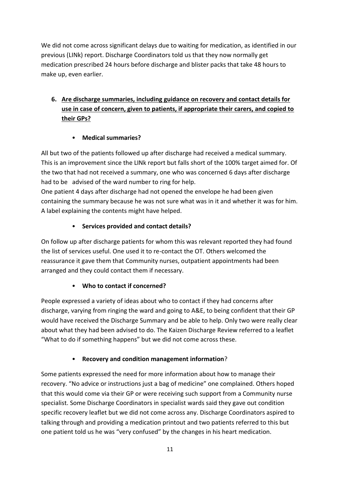We did not come across significant delays due to waiting for medication, as identified in our previous (LINk) report. Discharge Coordinators told us that they now normally get medication prescribed 24 hours before discharge and blister packs that take 48 hours to make up, even earlier.

## **6. Are discharge summaries, including guidance on recovery and contact details for use in case of concern, given to patients, if appropriate their carers, and copied to their GPs?**

## • **Medical summaries?**

All but two of the patients followed up after discharge had received a medical summary. This is an improvement since the LINk report but falls short of the 100% target aimed for. Of the two that had not received a summary, one who was concerned 6 days after discharge had to be advised of the ward number to ring for help.

One patient 4 days after discharge had not opened the envelope he had been given containing the summary because he was not sure what was in it and whether it was for him. A label explaining the contents might have helped.

## • **Services provided and contact details?**

On follow up after discharge patients for whom this was relevant reported they had found the list of services useful. One used it to re-contact the OT. Others welcomed the reassurance it gave them that Community nurses, outpatient appointments had been arranged and they could contact them if necessary.

## • **Who to contact if concerned?**

People expressed a variety of ideas about who to contact if they had concerns after discharge, varying from ringing the ward and going to A&E, to being confident that their GP would have received the Discharge Summary and be able to help. Only two were really clear about what they had been advised to do. The Kaizen Discharge Review referred to a leaflet "What to do if something happens" but we did not come across these.

## • **Recovery and condition management information**?

Some patients expressed the need for more information about how to manage their recovery. "No advice or instructions just a bag of medicine" one complained. Others hoped that this would come via their GP or were receiving such support from a Community nurse specialist. Some Discharge Coordinators in specialist wards said they gave out condition specific recovery leaflet but we did not come across any. Discharge Coordinators aspired to talking through and providing a medication printout and two patients referred to this but one patient told us he was "very confused" by the changes in his heart medication.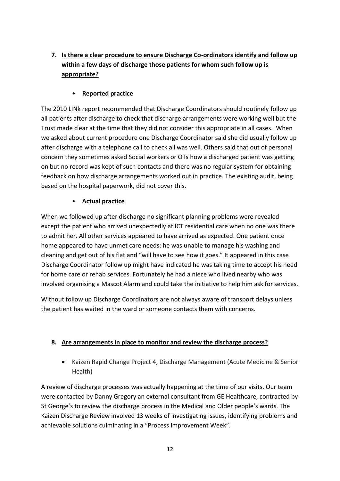## **7. Is there a clear procedure to ensure Discharge Co-ordinators identify and follow up within a few days of discharge those patients for whom such follow up is appropriate?**

## • **Reported practice**

The 2010 LINk report recommended that Discharge Coordinators should routinely follow up all patients after discharge to check that discharge arrangements were working well but the Trust made clear at the time that they did not consider this appropriate in all cases. When we asked about current procedure one Discharge Coordinator said she did usually follow up after discharge with a telephone call to check all was well. Others said that out of personal concern they sometimes asked Social workers or OTs how a discharged patient was getting on but no record was kept of such contacts and there was no regular system for obtaining feedback on how discharge arrangements worked out in practice. The existing audit, being based on the hospital paperwork, did not cover this.

## • **Actual practice**

When we followed up after discharge no significant planning problems were revealed except the patient who arrived unexpectedly at ICT residential care when no one was there to admit her. All other services appeared to have arrived as expected. One patient once home appeared to have unmet care needs: he was unable to manage his washing and cleaning and get out of his flat and "will have to see how it goes." It appeared in this case Discharge Coordinator follow up might have indicated he was taking time to accept his need for home care or rehab services. Fortunately he had a niece who lived nearby who was involved organising a Mascot Alarm and could take the initiative to help him ask for services.

Without follow up Discharge Coordinators are not always aware of transport delays unless the patient has waited in the ward or someone contacts them with concerns.

## **8. Are arrangements in place to monitor and review the discharge process?**

 Kaizen Rapid Change Project 4, Discharge Management (Acute Medicine & Senior Health)

A review of discharge processes was actually happening at the time of our visits. Our team were contacted by Danny Gregory an external consultant from GE Healthcare, contracted by St George's to review the discharge process in the Medical and Older people's wards. The Kaizen Discharge Review involved 13 weeks of investigating issues, identifying problems and achievable solutions culminating in a "Process Improvement Week".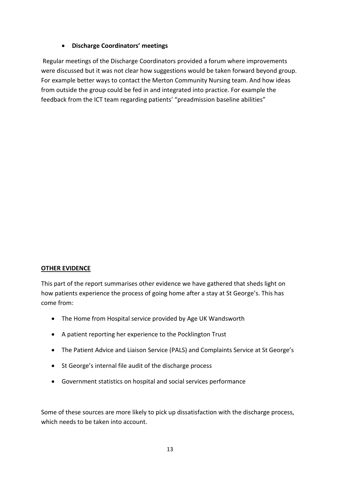#### **Discharge Coordinators' meetings**

Regular meetings of the Discharge Coordinators provided a forum where improvements were discussed but it was not clear how suggestions would be taken forward beyond group. For example better ways to contact the Merton Community Nursing team. And how ideas from outside the group could be fed in and integrated into practice. For example the feedback from the ICT team regarding patients' "preadmission baseline abilities"

#### **OTHER EVIDENCE**

This part of the report summarises other evidence we have gathered that sheds light on how patients experience the process of going home after a stay at St George's. This has come from:

- The Home from Hospital service provided by Age UK Wandsworth
- A patient reporting her experience to the Pocklington Trust
- The Patient Advice and Liaison Service (PALS) and Complaints Service at St George's
- St George's internal file audit of the discharge process
- Government statistics on hospital and social services performance

Some of these sources are more likely to pick up dissatisfaction with the discharge process, which needs to be taken into account.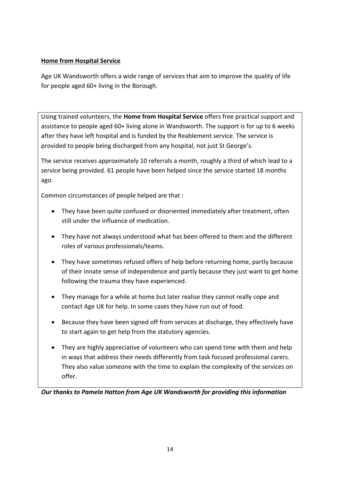#### **Home from Hospital Service**

Age UK Wandsworth offers a wide range of services that aim to improve the quality of life for people aged 60+ living in the Borough.

Using trained volunteers, the **Home from Hospital Service** offers free practical support and assistance to people aged 60+ living alone in Wandsworth. The support is for up to 6 weeks after they have left hospital and is funded by the Reablement service. The service is provided to people being discharged from any hospital, not just St George's.

The service receives approximately 10 referrals a month, roughly a third of which lead to a service being provided. 61 people have been helped since the service started 18 months ago.

Common circumstances of people helped are that :

- They have been quite confused or disoriented immediately after treatment, often still under the influence of medication.
- They have not always understood what has been offered to them and the different roles of various professionals/teams.
- They have sometimes refused offers of help before returning home, partly because of their innate sense of independence and partly because they just want to get home following the trauma they have experienced.
- They manage for a while at home but later realise they cannot really cope and contact Age UK for help. In some cases they have run out of food.
- Because they have been signed off from services at discharge, they effectively have to start again to get help from the statutory agencies.
- They are highly appreciative of volunteers who can spend time with them and help in ways that address their needs differently from task focused professional carers. They also value someone with the time to explain the complexity of the services on offer.

*Our thanks to Pamela Hatton from Age UK Wandsworth for providing this information*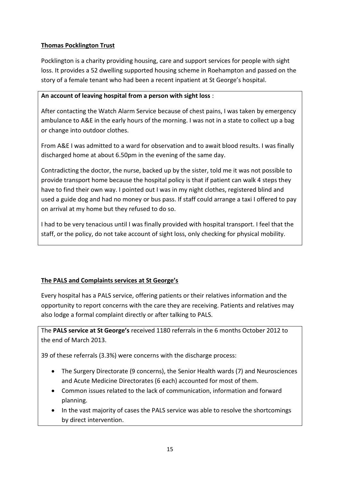## **Thomas Pocklington Trust**

Pocklington is a charity providing housing, care and support services for people with sight loss. It provides a 52 dwelling supported housing scheme in Roehampton and passed on the story of a female tenant who had been a recent inpatient at St George's hospital.

## **An account of leaving hospital from a person with sight loss** :

After contacting the Watch Alarm Service because of chest pains, I was taken by emergency ambulance to A&E in the early hours of the morning. I was not in a state to collect up a bag or change into outdoor clothes.

From A&E I was admitted to a ward for observation and to await blood results. I was finally discharged home at about 6.50pm in the evening of the same day.

Contradicting the doctor, the nurse, backed up by the sister, told me it was not possible to provide transport home because the hospital policy is that if patient can walk 4 steps they have to find their own way. I pointed out I was in my night clothes, registered blind and used a guide dog and had no money or bus pass. If staff could arrange a taxi I offered to pay on arrival at my home but they refused to do so.

I had to be very tenacious until I was finally provided with hospital transport. I feel that the staff, or the policy, do not take account of sight loss, only checking for physical mobility.

## **The PALS and Complaints services at St George's**

Every hospital has a PALS service, offering patients or their relatives information and the opportunity to report concerns with the care they are receiving. Patients and relatives may also lodge a formal complaint directly or after talking to PALS.

The **PALS service at St George's** received 1180 referrals in the 6 months October 2012 to the end of March 2013.

39 of these referrals (3.3%) were concerns with the discharge process:

- The Surgery Directorate (9 concerns), the Senior Health wards (7) and Neurosciences and Acute Medicine Directorates (6 each) accounted for most of them.
- Common issues related to the lack of communication, information and forward planning.
- In the vast majority of cases the PALS service was able to resolve the shortcomings by direct intervention.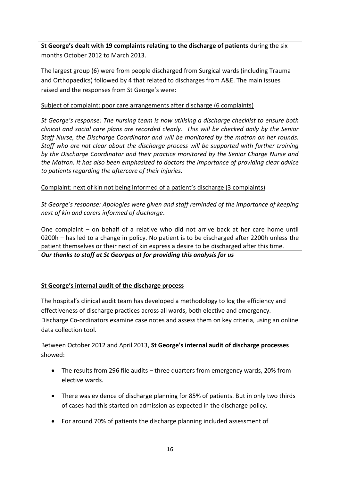**St George's dealt with 19 complaints relating to the discharge of patients** during the six months October 2012 to March 2013.

The largest group (6) were from people discharged from Surgical wards (including Trauma and Orthopaedics) followed by 4 that related to discharges from A&E. The main issues raised and the responses from St George's were:

## Subject of complaint: poor care arrangements after discharge (6 complaints)

*St George's response: The nursing team is now utilising a discharge checklist to ensure both clinical and social care plans are recorded clearly. This will be checked daily by the Senior Staff Nurse, the Discharge Coordinator and will be monitored by the matron on her rounds. Staff who are not clear about the discharge process will be supported with further training by the Discharge Coordinator and their practice monitored by the Senior Charge Nurse and the Matron. It has also been emphasized to doctors the importance of providing clear advice to patients regarding the aftercare of their injuries.*

Complaint: next of kin not being informed of a patient's discharge (3 complaints)

*St George's response: Apologies were given and staff reminded of the importance of keeping next of kin and carers informed of discharge*.

One complaint – on behalf of a relative who did not arrive back at her care home until 0200h – has led to a change in policy. No patient is to be discharged after 2200h unless the patient themselves or their next of kin express a desire to be discharged after this time. *Our thanks to staff at St Georges at for providing this analysis for us*

## **St George's internal audit of the discharge process**

The hospital's clinical audit team has developed a methodology to log the efficiency and effectiveness of discharge practices across all wards, both elective and emergency. Discharge Co-ordinators examine case notes and assess them on key criteria, using an online data collection tool.

Between October 2012 and April 2013, **St George's internal audit of discharge processes**  showed:

- The results from 296 file audits three quarters from emergency wards, 20% from elective wards.
- There was evidence of discharge planning for 85% of patients. But in only two thirds of cases had this started on admission as expected in the discharge policy.
- For around 70% of patients the discharge planning included assessment of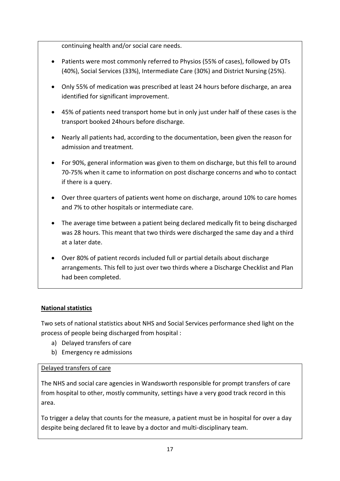continuing health and/or social care needs.

- Patients were most commonly referred to Physios (55% of cases), followed by OTs (40%), Social Services (33%), Intermediate Care (30%) and District Nursing (25%).
- Only 55% of medication was prescribed at least 24 hours before discharge, an area identified for significant improvement.
- 45% of patients need transport home but in only just under half of these cases is the transport booked 24hours before discharge.
- Nearly all patients had, according to the documentation, been given the reason for admission and treatment.
- For 90%, general information was given to them on discharge, but this fell to around 70-75% when it came to information on post discharge concerns and who to contact if there is a query.
- Over three quarters of patients went home on discharge, around 10% to care homes and 7% to other hospitals or intermediate care.
- The average time between a patient being declared medically fit to being discharged was 28 hours. This meant that two thirds were discharged the same day and a third at a later date.
- Over 80% of patient records included full or partial details about discharge arrangements. This fell to just over two thirds where a Discharge Checklist and Plan had been completed.

## **National statistics**

Two sets of national statistics about NHS and Social Services performance shed light on the process of people being discharged from hospital :

- a) Delayed transfers of care
- b) Emergency re admissions

#### Delayed transfers of care

The NHS and social care agencies in Wandsworth responsible for prompt transfers of care from hospital to other, mostly community, settings have a very good track record in this area.

To trigger a delay that counts for the measure, a patient must be in hospital for over a day despite being declared fit to leave by a doctor and multi-disciplinary team.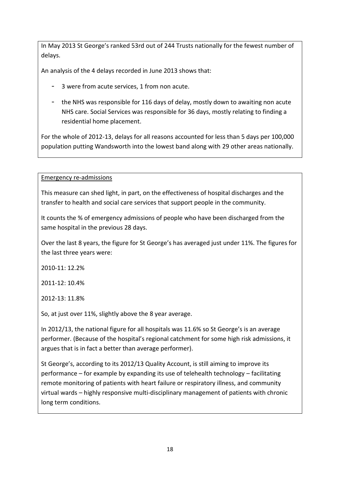In May 2013 St George's ranked 53rd out of 244 Trusts nationally for the fewest number of delays.

An analysis of the 4 delays recorded in June 2013 shows that:

- 3 were from acute services, 1 from non acute.
- the NHS was responsible for 116 days of delay, mostly down to awaiting non acute NHS care. Social Services was responsible for 36 days, mostly relating to finding a residential home placement.

For the whole of 2012-13, delays for all reasons accounted for less than 5 days per 100,000 population putting Wandsworth into the lowest band along with 29 other areas nationally.

Emergency re-admissions

This measure can shed light, in part, on the effectiveness of hospital discharges and the transfer to health and social care services that support people in the community.

It counts the % of emergency admissions of people who have been discharged from the same hospital in the previous 28 days.

Over the last 8 years, the figure for St George's has averaged just under 11%. The figures for the last three years were:

2010-11: 12.2%

2011-12: 10.4%

2012-13: 11.8%

So, at just over 11%, slightly above the 8 year average.

In 2012/13, the national figure for all hospitals was 11.6% so St George's is an average performer. (Because of the hospital's regional catchment for some high risk admissions, it argues that is in fact a better than average performer).

St George's, according to its 2012/13 Quality Account, is still aiming to improve its performance – for example by expanding its use of telehealth technology – facilitating remote monitoring of patients with heart failure or respiratory illness, and community virtual wards – highly responsive multi-disciplinary management of patients with chronic long term conditions.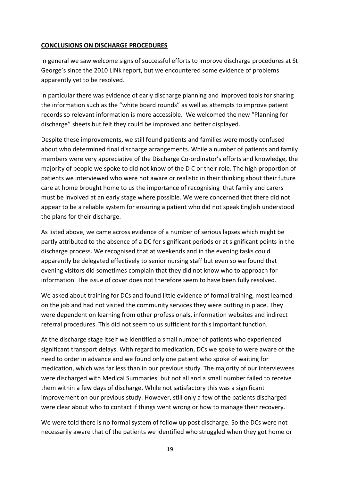#### **CONCLUSIONS ON DISCHARGE PROCEDURES**

In general we saw welcome signs of successful efforts to improve discharge procedures at St George's since the 2010 LINk report, but we encountered some evidence of problems apparently yet to be resolved.

In particular there was evidence of early discharge planning and improved tools for sharing the information such as the "white board rounds" as well as attempts to improve patient records so relevant information is more accessible. We welcomed the new "Planning for discharge" sheets but felt they could be improved and better displayed.

Despite these improvements, we still found patients and families were mostly confused about who determined final discharge arrangements. While a number of patients and family members were very appreciative of the Discharge Co-ordinator's efforts and knowledge, the majority of people we spoke to did not know of the D C or their role. The high proportion of patients we interviewed who were not aware or realistic in their thinking about their future care at home brought home to us the importance of recognising that family and carers must be involved at an early stage where possible. We were concerned that there did not appear to be a reliable system for ensuring a patient who did not speak English understood the plans for their discharge.

As listed above, we came across evidence of a number of serious lapses which might be partly attributed to the absence of a DC for significant periods or at significant points in the discharge process. We recognised that at weekends and in the evening tasks could apparently be delegated effectively to senior nursing staff but even so we found that evening visitors did sometimes complain that they did not know who to approach for information. The issue of cover does not therefore seem to have been fully resolved.

We asked about training for DCs and found little evidence of formal training, most learned on the job and had not visited the community services they were putting in place. They were dependent on learning from other professionals, information websites and indirect referral procedures. This did not seem to us sufficient for this important function.

At the discharge stage itself we identified a small number of patients who experienced significant transport delays. With regard to medication, DCs we spoke to were aware of the need to order in advance and we found only one patient who spoke of waiting for medication, which was far less than in our previous study. The majority of our interviewees were discharged with Medical Summaries, but not all and a small number failed to receive them within a few days of discharge. While not satisfactory this was a significant improvement on our previous study. However, still only a few of the patients discharged were clear about who to contact if things went wrong or how to manage their recovery.

We were told there is no formal system of follow up post discharge. So the DCs were not necessarily aware that of the patients we identified who struggled when they got home or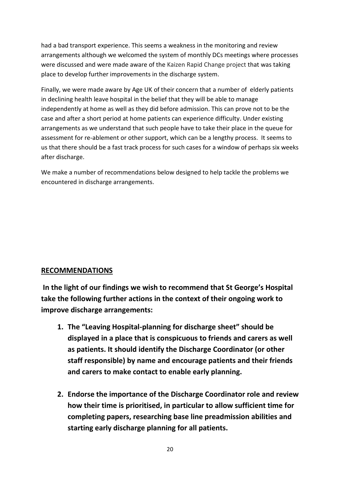had a bad transport experience. This seems a weakness in the monitoring and review arrangements although we welcomed the system of monthly DCs meetings where processes were discussed and were made aware of the Kaizen Rapid Change project that was taking place to develop further improvements in the discharge system.

Finally, we were made aware by Age UK of their concern that a number of elderly patients in declining health leave hospital in the belief that they will be able to manage independently at home as well as they did before admission. This can prove not to be the case and after a short period at home patients can experience difficulty. Under existing arrangements as we understand that such people have to take their place in the queue for assessment for re-ablement or other support, which can be a lengthy process. It seems to us that there should be a fast track process for such cases for a window of perhaps six weeks after discharge.

We make a number of recommendations below designed to help tackle the problems we encountered in discharge arrangements.

## **RECOMMENDATIONS**

**In the light of our findings we wish to recommend that St George's Hospital take the following further actions in the context of their ongoing work to improve discharge arrangements:**

- **1. The "Leaving Hospital-planning for discharge sheet" should be displayed in a place that is conspicuous to friends and carers as well as patients. It should identify the Discharge Coordinator (or other staff responsible) by name and encourage patients and their friends and carers to make contact to enable early planning.**
- **2. Endorse the importance of the Discharge Coordinator role and review how their time is prioritised, in particular to allow sufficient time for completing papers, researching base line preadmission abilities and starting early discharge planning for all patients.**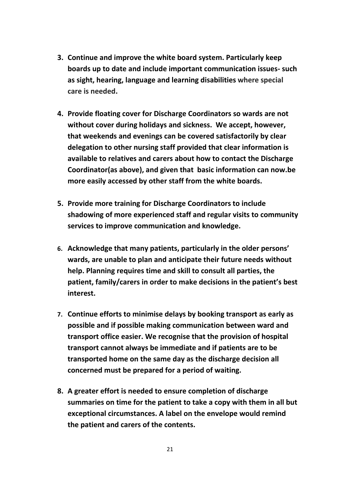- **3. Continue and improve the white board system. Particularly keep boards up to date and include important communication issues- such as sight, hearing, language and learning disabilities where special care is needed.**
- **4. Provide floating cover for Discharge Coordinators so wards are not without cover during holidays and sickness. We accept, however, that weekends and evenings can be covered satisfactorily by clear delegation to other nursing staff provided that clear information is available to relatives and carers about how to contact the Discharge Coordinator(as above), and given that basic information can now.be more easily accessed by other staff from the white boards.**
- **5. Provide more training for Discharge Coordinators to include shadowing of more experienced staff and regular visits to community services to improve communication and knowledge.**
- **6. Acknowledge that many patients, particularly in the older persons' wards, are unable to plan and anticipate their future needs without help. Planning requires time and skill to consult all parties, the patient, family/carers in order to make decisions in the patient's best interest.**
- **7. Continue efforts to minimise delays by booking transport as early as possible and if possible making communication between ward and transport office easier. We recognise that the provision of hospital transport cannot always be immediate and if patients are to be transported home on the same day as the discharge decision all concerned must be prepared for a period of waiting.**
- **8. A greater effort is needed to ensure completion of discharge summaries on time for the patient to take a copy with them in all but exceptional circumstances. A label on the envelope would remind the patient and carers of the contents.**